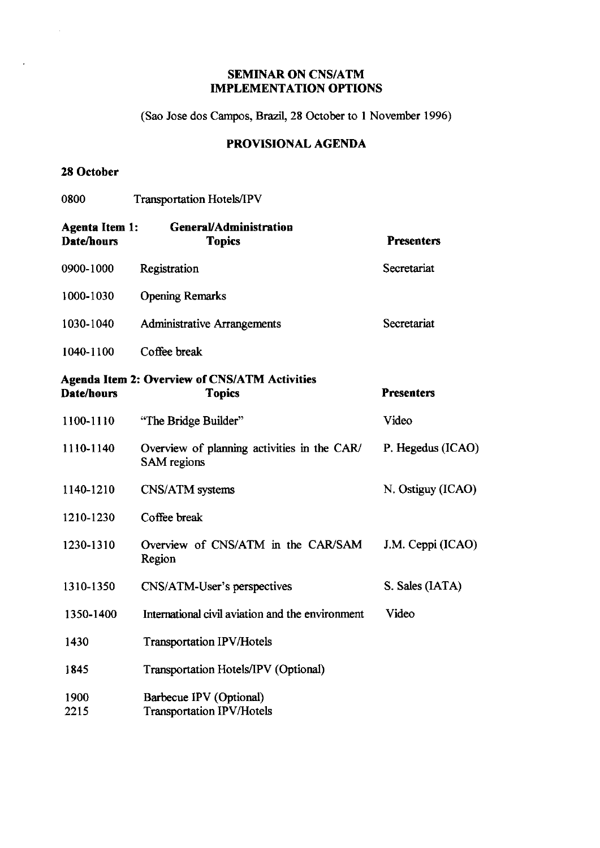## **SEMINAR ON CNS/ATM IMPLEMENTATION OPTIONS**

(Sao Jose dos Campos, Brazil, 28 October to 1 November 1996)

# PROVISIONAL AGENDA

#### 28 October

 $\mathcal{L}$ 

| 0800                                | <b>Transportation Hotels/IPV</b>                                      |                   |
|-------------------------------------|-----------------------------------------------------------------------|-------------------|
| <b>Agenta Item 1:</b><br>Date/hours | <b>General/Administration</b><br><b>Topics</b>                        | <b>Presenters</b> |
| 0900-1000                           | Registration                                                          | Secretariat       |
| 1000-1030                           | <b>Opening Remarks</b>                                                |                   |
| 1030-1040                           | <b>Administrative Arrangements</b>                                    | Secretariat       |
| 1040-1100                           | Coffee break                                                          |                   |
| Date/hours                          | <b>Agenda Item 2: Overview of CNS/ATM Activities</b><br><b>Topics</b> | <b>Presenters</b> |
| 1100-1110                           | "The Bridge Builder"                                                  | Video             |
| 1110-1140                           | Overview of planning activities in the CAR/<br><b>SAM</b> regions     | P. Hegedus (ICAO) |
| 1140-1210                           | CNS/ATM systems                                                       | N. Ostiguy (ICAO) |
| 1210-1230                           | Coffee break                                                          |                   |
| 1230-1310                           | Overview of CNS/ATM in the CAR/SAM<br>Region                          | J.M. Ceppi (ICAO) |
| 1310-1350                           | CNS/ATM-User's perspectives                                           | S. Sales (IATA)   |
| 1350-1400                           | International civil aviation and the environment                      | Video             |
| 1430                                | <b>Transportation IPV/Hotels</b>                                      |                   |
| 1845                                | Transportation Hotels/IPV (Optional)                                  |                   |
| 1900<br>2215                        | Barbecue IPV (Optional)<br><b>Transportation IPV/Hotels</b>           |                   |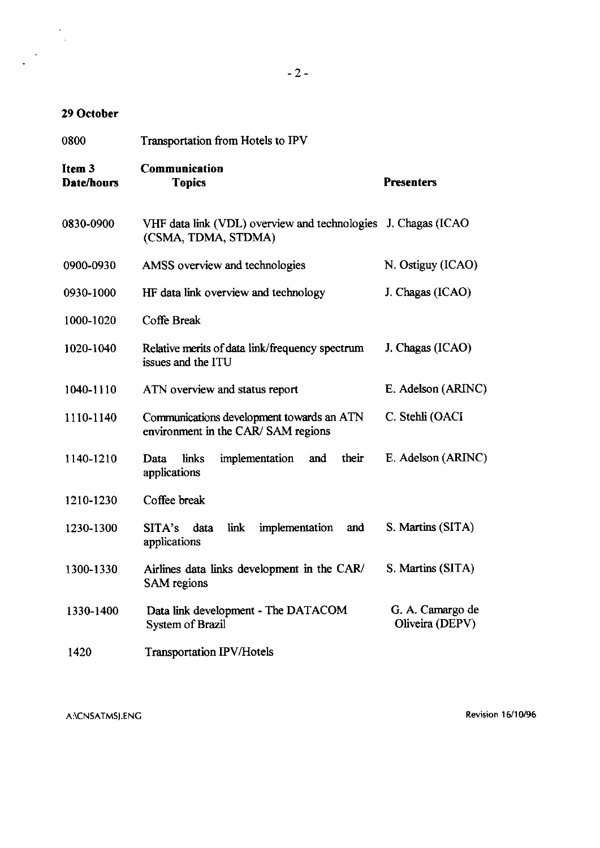## 29 October

| 0800                 | Transportation from Hotels to IPV                                                    |                                     |  |
|----------------------|--------------------------------------------------------------------------------------|-------------------------------------|--|
| Item 3<br>Date/hours | Communication<br><b>Topics</b>                                                       | <b>Presenters</b>                   |  |
| 0830-0900            | VHF data link (VDL) overview and technologies J. Chagas (ICAO<br>(CSMA, TDMA, STDMA) |                                     |  |
| 0900-0930            | AMSS overview and technologies                                                       | N. Ostiguy (ICAO)                   |  |
| 0930-1000            | HF data link overview and technology                                                 | J. Chagas (ICAO)                    |  |
| 1000-1020            | Coffe Break                                                                          |                                     |  |
| 1020-1040            | Relative merits of data link/frequency spectrum<br>issues and the ITU                | J. Chagas (ICAO)                    |  |
| 1040-1110            | ATN overview and status report                                                       | E. Adelson (ARINC)                  |  |
| 1110-1140            | Communications development towards an ATN<br>environment in the CAR/SAM regions      | C. Stehli (OACI                     |  |
| 1140-1210            | their<br>links<br>implementation<br>Data<br>and<br>applications                      | E. Adelson (ARINC)                  |  |
| 1210-1230            | Coffee break                                                                         |                                     |  |
| 1230-1300            | link<br>SITA's<br>implementation<br>data<br>and<br>applications                      | S. Martins (SITA)                   |  |
| 1300-1330            | Airlines data links development in the CAR/<br><b>SAM</b> regions                    | S. Martins (SITA)                   |  |
| 1330-1400            | Data link development - The DATACOM<br>System of Brazil                              | G. A. Camargo de<br>Oliveira (DEPV) |  |
| 1420                 | <b>Transportation IPV/Hotels</b>                                                     |                                     |  |

A:\CNSATMSJ.ENG

**Revision 16/10/96**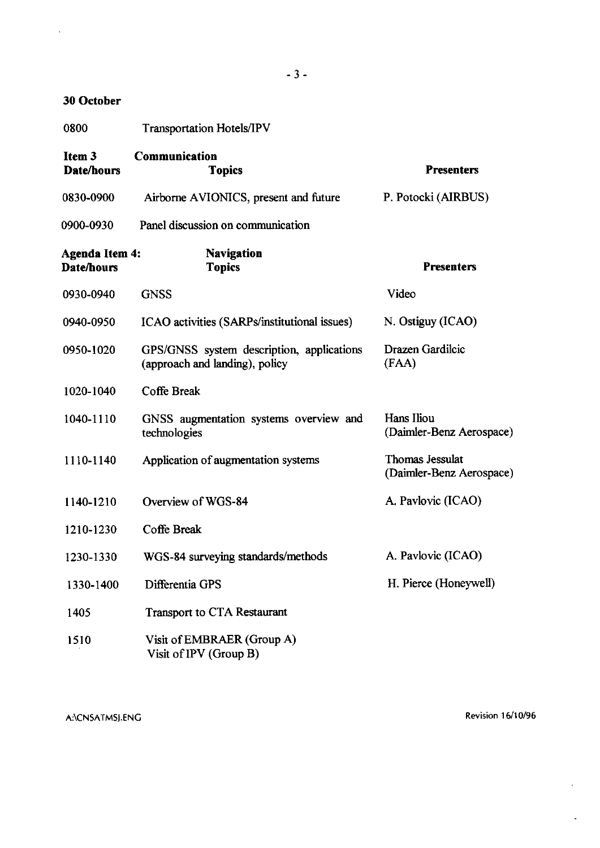## 30 October

 $\bar{\mathcal{A}}$ 

| 0800                                   | <b>Transportation Hotels/IPV</b>                                            |                                             |
|----------------------------------------|-----------------------------------------------------------------------------|---------------------------------------------|
| Item <sub>3</sub><br><b>Date/hours</b> | Communication<br><b>Topics</b>                                              | <b>Presenters</b>                           |
| 0830-0900                              | Airborne AVIONICS, present and future                                       | P. Potocki (AIRBUS)                         |
| 0900-0930                              | Panel discussion on communication                                           |                                             |
| Agenda Item 4:<br><b>Date/hours</b>    | <b>Navigation</b><br><b>Topics</b>                                          | <b>Presenters</b>                           |
| 0930-0940                              | <b>GNSS</b>                                                                 | Video                                       |
| 0940-0950                              | ICAO activities (SARPs/institutional issues)                                | N. Ostiguy (ICAO)                           |
| 0950-1020                              | GPS/GNSS system description, applications<br>(approach and landing), policy | Drazen Gardilcic<br>(FAA)                   |
| 1020-1040                              | Coffe Break                                                                 |                                             |
| 1040-1110                              | GNSS augmentation systems overview and<br>technologies                      | Hans Iliou<br>(Daimler-Benz Aerospace)      |
| 1110-1140                              | Application of augmentation systems                                         | Thomas Jessulat<br>(Daimler-Benz Aerospace) |
| 1140-1210                              | Overview of WGS-84                                                          | A. Pavlovic (ICAO)                          |
| 1210-1230                              | Coffe Break                                                                 |                                             |
| 1230-1330                              | WGS-84 surveying standards/methods                                          | A. Pavlovic (ICAO)                          |
| 1330-1400                              | Differentia GPS                                                             | H. Pierce (Honeywell)                       |
| 1405                                   | <b>Transport to CTA Restaurant</b>                                          |                                             |
| 1510                                   | Visit of EMBRAER (Group A)<br>Visit of IPV (Group B)                        |                                             |

A:\CNSATMSJ.ENG Revision 16/10/96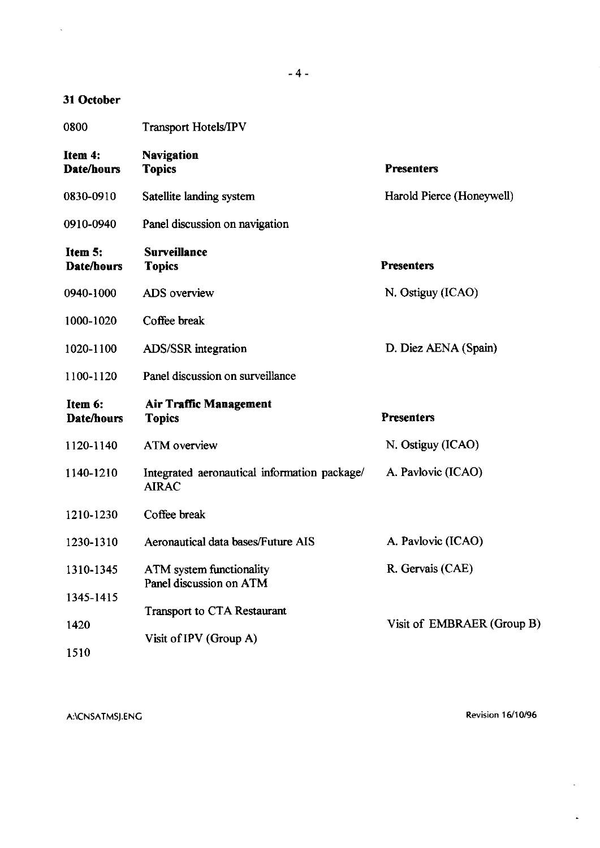## 31 October

 $\bar{\mathcal{A}}$ 

| 0800                         | <b>Transport Hotels/IPV</b>                                  |                            |
|------------------------------|--------------------------------------------------------------|----------------------------|
| Item 4:<br><b>Date/hours</b> | <b>Navigation</b><br><b>Topics</b>                           | <b>Presenters</b>          |
| 0830-0910                    | Satellite landing system                                     | Harold Pierce (Honeywell)  |
| 0910-0940                    | Panel discussion on navigation                               |                            |
| Item 5:<br>Date/hours        | <b>Surveillance</b><br><b>Topics</b>                         | <b>Presenters</b>          |
| 0940-1000                    | <b>ADS</b> overview                                          | N. Ostiguy (ICAO)          |
| 1000-1020                    | Coffee break                                                 |                            |
| 1020-1100                    | <b>ADS/SSR</b> integration                                   | D. Diez AENA (Spain)       |
| 1100-1120                    | Panel discussion on surveillance                             |                            |
| Item 6:<br>Date/hours        | <b>Air Traffic Management</b><br><b>Topics</b>               | <b>Presenters</b>          |
| 1120-1140                    | <b>ATM</b> overview                                          | N. Ostiguy (ICAO)          |
| 1140-1210                    | Integrated aeronautical information package/<br><b>AIRAC</b> | A. Pavlovic (ICAO)         |
| 1210-1230                    | Coffee break                                                 |                            |
| 1230-1310                    | Aeronautical data bases/Future AIS                           | A. Pavlovic (ICAO)         |
| 1310-1345                    | ATM system functionality<br>Panel discussion on ATM          | R. Gervais (CAE)           |
| 1345-1415                    | <b>Transport to CTA Restaurant</b>                           |                            |
| 1420                         | Visit of IPV (Group A)                                       | Visit of EMBRAER (Group B) |
| 1510                         |                                                              |                            |

A:\CNSATMSJ.ENG Revision 16/10/96

 $\ddot{\phantom{0}}$